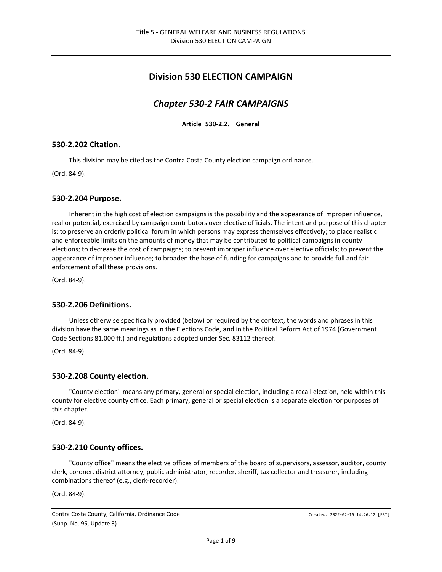# **Division 530 ELECTION CAMPAIGN**

# *Chapter 530-2 FAIR CAMPAIGNS*

**Article 530-2.2. General**

### **530-2.202 Citation.**

This division may be cited as the Contra Costa County election campaign ordinance.

(Ord. 84-9).

#### **530-2.204 Purpose.**

Inherent in the high cost of election campaigns is the possibility and the appearance of improper influence, real or potential, exercised by campaign contributors over elective officials. The intent and purpose of this chapter is: to preserve an orderly political forum in which persons may express themselves effectively; to place realistic and enforceable limits on the amounts of money that may be contributed to political campaigns in county elections; to decrease the cost of campaigns; to prevent improper influence over elective officials; to prevent the appearance of improper influence; to broaden the base of funding for campaigns and to provide full and fair enforcement of all these provisions.

(Ord. 84-9).

### **530-2.206 Definitions.**

Unless otherwise specifically provided (below) or required by the context, the words and phrases in this division have the same meanings as in the Elections Code, and in the Political Reform Act of 1974 (Government Code Sections 81.000 ff.) and regulations adopted under Sec. 83112 thereof.

(Ord. 84-9).

### **530-2.208 County election.**

"County election" means any primary, general or special election, including a recall election, held within this county for elective county office. Each primary, general or special election is a separate election for purposes of this chapter.

(Ord. 84-9).

### **530-2.210 County offices.**

"County office" means the elective offices of members of the board of supervisors, assessor, auditor, county clerk, coroner, district attorney, public administrator, recorder, sheriff, tax collector and treasurer, including combinations thereof (e.g., clerk-recorder).

(Ord. 84-9).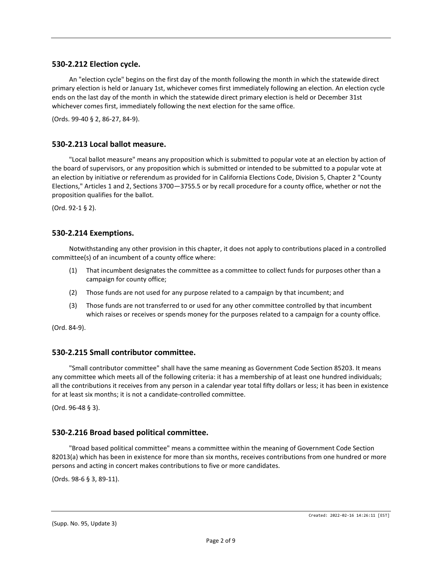#### **530-2.212 Election cycle.**

An "election cycle" begins on the first day of the month following the month in which the statewide direct primary election is held or January 1st, whichever comes first immediately following an election. An election cycle ends on the last day of the month in which the statewide direct primary election is held or December 31st whichever comes first, immediately following the next election for the same office.

(Ords. 99-40 § 2, 86-27, 84-9).

#### **530-2.213 Local ballot measure.**

"Local ballot measure" means any proposition which is submitted to popular vote at an election by action of the board of supervisors, or any proposition which is submitted or intended to be submitted to a popular vote at an election by initiative or referendum as provided for in California Elections Code, Division 5, Chapter 2 "County Elections," Articles 1 and 2, Sections 3700—3755.5 or by recall procedure for a county office, whether or not the proposition qualifies for the ballot.

(Ord. 92-1 § 2).

### **530-2.214 Exemptions.**

Notwithstanding any other provision in this chapter, it does not apply to contributions placed in a controlled committee(s) of an incumbent of a county office where:

- (1) That incumbent designates the committee as a committee to collect funds for purposes other than a campaign for county office;
- (2) Those funds are not used for any purpose related to a campaign by that incumbent; and
- (3) Those funds are not transferred to or used for any other committee controlled by that incumbent which raises or receives or spends money for the purposes related to a campaign for a county office.

(Ord. 84-9).

### **530-2.215 Small contributor committee.**

"Small contributor committee" shall have the same meaning as Government Code Section 85203. It means any committee which meets all of the following criteria: it has a membership of at least one hundred individuals; all the contributions it receives from any person in a calendar year total fifty dollars or less; it has been in existence for at least six months; it is not a candidate-controlled committee.

(Ord. 96-48 § 3).

### **530-2.216 Broad based political committee.**

"Broad based political committee" means a committee within the meaning of Government Code Section 82013(a) which has been in existence for more than six months, receives contributions from one hundred or more persons and acting in concert makes contributions to five or more candidates.

(Ords. 98-6 § 3, 89-11).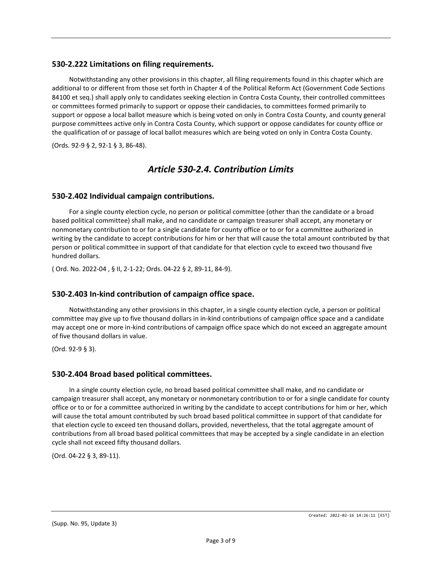### **530-2.222 Limitations on filing requirements.**

Notwithstanding any other provisions in this chapter, all filing requirements found in this chapter which are additional to or different from those set forth in Chapter 4 of the Political Reform Act (Government Code Sections 84100 et seq.) shall apply only to candidates seeking election in Contra Costa County, their controlled committees or committees formed primarily to support or oppose their candidacies, to committees formed primarily to support or oppose a local ballot measure which is being voted on only in Contra Costa County, and county general purpose committees active only in Contra Costa County, which support or oppose candidates for county office or the qualification of or passage of local ballot measures which are being voted on only in Contra Costa County.

(Ords. 92-9 § 2, 92-1 § 3, 86-48).

## *Article 530-2.4. Contribution Limits*

#### **530-2.402 Individual campaign contributions.**

For a single county election cycle, no person or political committee (other than the candidate or a broad based political committee) shall make, and no candidate or campaign treasurer shall accept, any monetary or nonmonetary contribution to or for a single candidate for county office or to or for a committee authorized in writing by the candidate to accept contributions for him or her that will cause the total amount contributed by that person or political committee in support of that candidate for that election cycle to exceed two thousand five hundred dollars.

( Ord. No. 2022-04 , § II, 2-1-22; Ords. 04-22 § 2, 89-11, 84-9).

### **530-2.403 In-kind contribution of campaign office space.**

Notwithstanding any other provisions in this chapter, in a single county election cycle, a person or political committee may give up to five thousand dollars in in-kind contributions of campaign office space and a candidate may accept one or more in-kind contributions of campaign office space which do not exceed an aggregate amount of five thousand dollars in value.

(Ord. 92-9 § 3).

### **530-2.404 Broad based political committees.**

In a single county election cycle, no broad based political committee shall make, and no candidate or campaign treasurer shall accept, any monetary or nonmonetary contribution to or for a single candidate for county office or to or for a committee authorized in writing by the candidate to accept contributions for him or her, which will cause the total amount contributed by such broad based political committee in support of that candidate for that election cycle to exceed ten thousand dollars, provided, nevertheless, that the total aggregate amount of contributions from all broad based political committees that may be accepted by a single candidate in an election cycle shall not exceed fifty thousand dollars.

(Ord. 04-22 § 3, 89-11).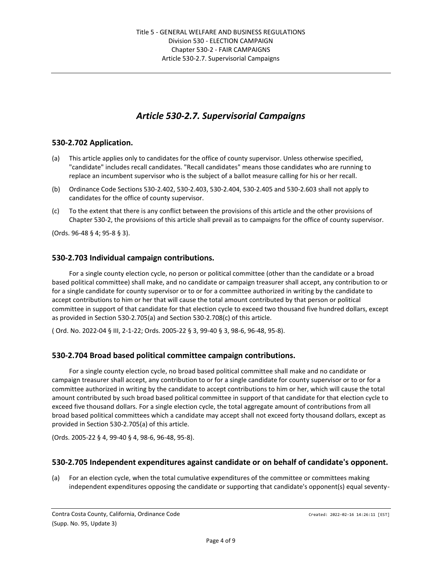# *Article 530-2.7. Supervisorial Campaigns*

### **530-2.702 Application.**

- (a) This article applies only to candidates for the office of county supervisor. Unless otherwise specified, "candidate" includes recall candidates. "Recall candidates" means those candidates who are running to replace an incumbent supervisor who is the subject of a ballot measure calling for his or her recall.
- (b) Ordinance Code Sections 530-2.402, 530-2.403, 530-2.404, 530-2.405 and 530-2.603 shall not apply to candidates for the office of county supervisor.
- (c) To the extent that there is any conflict between the provisions of this article and the other provisions of Chapter 530-2, the provisions of this article shall prevail as to campaigns for the office of county supervisor.

(Ords. 96-48 § 4; 95-8 § 3).

### **530-2.703 Individual campaign contributions.**

For a single county election cycle, no person or political committee (other than the candidate or a broad based political committee) shall make, and no candidate or campaign treasurer shall accept, any contribution to or for a single candidate for county supervisor or to or for a committee authorized in writing by the candidate to accept contributions to him or her that will cause the total amount contributed by that person or political committee in support of that candidate for that election cycle to exceed two thousand five hundred dollars, except as provided in Section 530-2.705(a) and Section 530-2.708(c) of this article.

( Ord. No. 2022-04 § III, 2-1-22; Ords. 2005-22 § 3, 99-40 § 3, 98-6, 96-48, 95-8).

### **530-2.704 Broad based political committee campaign contributions.**

For a single county election cycle, no broad based political committee shall make and no candidate or campaign treasurer shall accept, any contribution to or for a single candidate for county supervisor or to or for a committee authorized in writing by the candidate to accept contributions to him or her, which will cause the total amount contributed by such broad based political committee in support of that candidate for that election cycle to exceed five thousand dollars. For a single election cycle, the total aggregate amount of contributions from all broad based political committees which a candidate may accept shall not exceed forty thousand dollars, except as provided in Section 530-2.705(a) of this article.

(Ords. 2005-22 § 4, 99-40 § 4, 98-6, 96-48, 95-8).

### **530-2.705 Independent expenditures against candidate or on behalf of candidate's opponent.**

(a) For an election cycle, when the total cumulative expenditures of the committee or committees making independent expenditures opposing the candidate or supporting that candidate's opponent(s) equal seventy-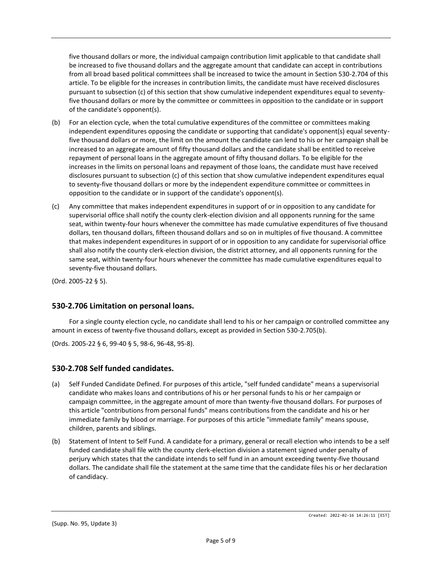five thousand dollars or more, the individual campaign contribution limit applicable to that candidate shall be increased to five thousand dollars and the aggregate amount that candidate can accept in contributions from all broad based political committees shall be increased to twice the amount in Section 530-2.704 of this article. To be eligible for the increases in contribution limits, the candidate must have received disclosures pursuant to subsection (c) of this section that show cumulative independent expenditures equal to seventyfive thousand dollars or more by the committee or committees in opposition to the candidate or in support of the candidate's opponent(s).

- (b) For an election cycle, when the total cumulative expenditures of the committee or committees making independent expenditures opposing the candidate or supporting that candidate's opponent(s) equal seventyfive thousand dollars or more, the limit on the amount the candidate can lend to his or her campaign shall be increased to an aggregate amount of fifty thousand dollars and the candidate shall be entitled to receive repayment of personal loans in the aggregate amount of fifty thousand dollars. To be eligible for the increases in the limits on personal loans and repayment of those loans, the candidate must have received disclosures pursuant to subsection (c) of this section that show cumulative independent expenditures equal to seventy-five thousand dollars or more by the independent expenditure committee or committees in opposition to the candidate or in support of the candidate's opponent(s).
- (c) Any committee that makes independent expenditures in support of or in opposition to any candidate for supervisorial office shall notify the county clerk-election division and all opponents running for the same seat, within twenty-four hours whenever the committee has made cumulative expenditures of five thousand dollars, ten thousand dollars, fifteen thousand dollars and so on in multiples of five thousand. A committee that makes independent expenditures in support of or in opposition to any candidate for supervisorial office shall also notify the county clerk-election division, the district attorney, and all opponents running for the same seat, within twenty-four hours whenever the committee has made cumulative expenditures equal to seventy-five thousand dollars.

(Ord. 2005-22 § 5).

### **530-2.706 Limitation on personal loans.**

For a single county election cycle, no candidate shall lend to his or her campaign or controlled committee any amount in excess of twenty-five thousand dollars, except as provided in Section 530-2.705(b).

(Ords. 2005-22 § 6, 99-40 § 5, 98-6, 96-48, 95-8).

## **530-2.708 Self funded candidates.**

- (a) Self Funded Candidate Defined. For purposes of this article, "self funded candidate" means a supervisorial candidate who makes loans and contributions of his or her personal funds to his or her campaign or campaign committee, in the aggregate amount of more than twenty-five thousand dollars. For purposes of this article "contributions from personal funds" means contributions from the candidate and his or her immediate family by blood or marriage. For purposes of this article "immediate family" means spouse, children, parents and siblings.
- (b) Statement of Intent to Self Fund. A candidate for a primary, general or recall election who intends to be a self funded candidate shall file with the county clerk-election division a statement signed under penalty of perjury which states that the candidate intends to self fund in an amount exceeding twenty-five thousand dollars. The candidate shall file the statement at the same time that the candidate files his or her declaration of candidacy.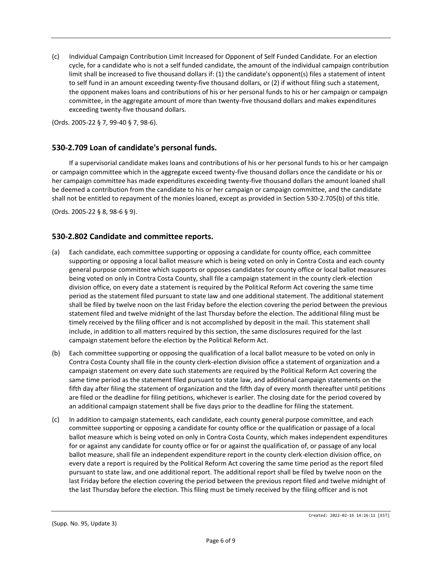(c) Individual Campaign Contribution Limit Increased for Opponent of Self Funded Candidate. For an election cycle, for a candidate who is not a self funded candidate, the amount of the individual campaign contribution limit shall be increased to five thousand dollars if: (1) the candidate's opponent(s) files a statement of intent to self fund in an amount exceeding twenty-five thousand dollars, or (2) if without filing such a statement, the opponent makes loans and contributions of his or her personal funds to his or her campaign or campaign committee, in the aggregate amount of more than twenty-five thousand dollars and makes expenditures exceeding twenty-five thousand dollars.

(Ords. 2005-22 § 7, 99-40 § 7, 98-6).

### **530-2.709 Loan of candidate's personal funds.**

If a supervisorial candidate makes loans and contributions of his or her personal funds to his or her campaign or campaign committee which in the aggregate exceed twenty-five thousand dollars once the candidate or his or her campaign committee has made expenditures exceeding twenty-five thousand dollars the amount loaned shall be deemed a contribution from the candidate to his or her campaign or campaign committee, and the candidate shall not be entitled to repayment of the monies loaned, except as provided in Section 530-2.705(b) of this title.

(Ords. 2005-22 § 8, 98-6 § 9).

### **530-2.802 Candidate and committee reports.**

- (a) Each candidate, each committee supporting or opposing a candidate for county office, each committee supporting or opposing a local ballot measure which is being voted on only in Contra Costa and each county general purpose committee which supports or opposes candidates for county office or local ballot measures being voted on only in Contra Costa County, shall file a campaign statement in the county clerk-election division office, on every date a statement is required by the Political Reform Act covering the same time period as the statement filed pursuant to state law and one additional statement. The additional statement shall be filed by twelve noon on the last Friday before the election covering the period between the previous statement filed and twelve midnight of the last Thursday before the election. The additional filing must be timely received by the filing officer and is not accomplished by deposit in the mail. This statement shall include, in addition to all matters required by this section, the same disclosures required for the last campaign statement before the election by the Political Reform Act.
- (b) Each committee supporting or opposing the qualification of a local ballot measure to be voted on only in Contra Costa County shall file in the county clerk-election division office a statement of organization and a campaign statement on every date such statements are required by the Political Reform Act covering the same time period as the statement filed pursuant to state law, and additional campaign statements on the fifth day after filing the statement of organization and the fifth day of every month thereafter until petitions are filed or the deadline for filing petitions, whichever is earlier. The closing date for the period covered by an additional campaign statement shall be five days prior to the deadline for filing the statement.
- (c) In addition to campaign statements, each candidate, each county general purpose committee, and each committee supporting or opposing a candidate for county office or the qualification or passage of a local ballot measure which is being voted on only in Contra Costa County, which makes independent expenditures for or against any candidate for county office or for or against the qualification of, or passage of any local ballot measure, shall file an independent expenditure report in the county clerk-election division office, on every date a report is required by the Political Reform Act covering the same time period as the report filed pursuant to state law, and one additional report. The additional report shall be filed by twelve noon on the last Friday before the election covering the period between the previous report filed and twelve midnight of the last Thursday before the election. This filing must be timely received by the filing officer and is not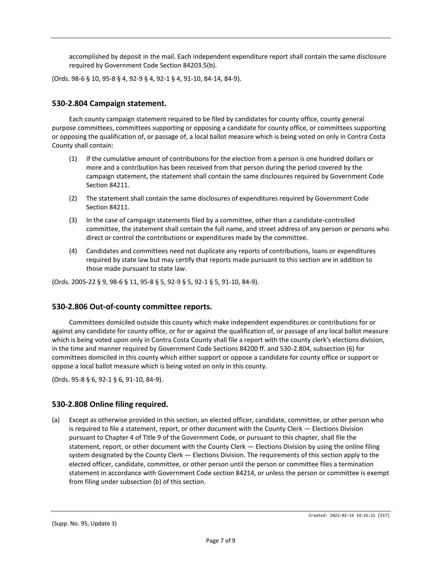accomplished by deposit in the mail. Each independent expenditure report shall contain the same disclosure required by Government Code Section 84203.5(b).

(Ords. 98-6 § 10, 95-8 § 4, 92-9 § 4, 92-1 § 4, 91-10, 84-14, 84-9).

### **530-2.804 Campaign statement.**

Each county campaign statement required to be filed by candidates for county office, county general purpose committees, committees supporting or opposing a candidate for county office, or committees supporting or opposing the qualification of, or passage of, a local ballot measure which is being voted on only in Contra Costa County shall contain:

- (1) If the cumulative amount of contributions for the election from a person is one hundred dollars or more and a contribution has been received from that person during the period covered by the campaign statement, the statement shall contain the same disclosures required by Government Code Section 84211.
- (2) The statement shall contain the same disclosures of expenditures required by Government Code Section 84211.
- (3) In the case of campaign statements filed by a committee, other than a candidate-controlled committee, the statement shall contain the full name, and street address of any person or persons who direct or control the contributions or expenditures made by the committee.
- (4) Candidates and committees need not duplicate any reports of contributions, loans or expenditures required by state law but may certify that reports made pursuant to this section are in addition to those made pursuant to state law.

(Ords. 2005-22 § 9, 98-6 § 11, 95-8 § 5, 92-9 § 5, 92-1 § 5, 91-10, 84-9).

### **530-2.806 Out-of-county committee reports.**

Committees domiciled outside this county which make independent expenditures or contributions for or against any candidate for county office, or for or against the qualification of, or passage of any local ballot measure which is being voted upon only in Contra Costa County shall file a report with the county clerk's elections division, in the time and manner required by Government Code Sections 84200 ff. and 530-2.804, subsection (6) for committees domiciled in this county which either support or oppose a candidate for county office or support or oppose a local ballot measure which is being voted on only in this county.

(Ords. 95-8 § 6, 92-1 § 6, 91-10, 84-9).

### **530-2.808 Online filing required.**

(a) Except as otherwise provided in this section, an elected officer, candidate, committee, or other person who is required to file a statement, report, or other document with the County Clerk — Elections Division pursuant to Chapter 4 of Title 9 of the Government Code, or pursuant to this chapter, shall file the statement, report, or other document with the County Clerk — Elections Division by using the online filing system designated by the County Clerk — Elections Division. The requirements of this section apply to the elected officer, candidate, committee, or other person until the person or committee files a termination statement in accordance with Government Code section 84214, or unless the person or committee is exempt from filing under subsection (b) of this section.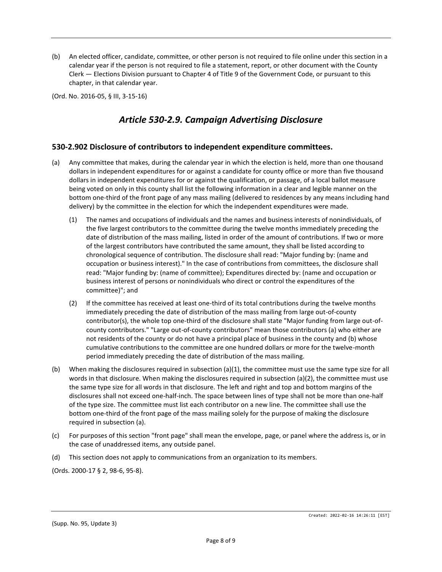(b) An elected officer, candidate, committee, or other person is not required to file online under this section in a calendar year if the person is not required to file a statement, report, or other document with the County Clerk — Elections Division pursuant to Chapter 4 of Title 9 of the Government Code, or pursuant to this chapter, in that calendar year.

(Ord. No. 2016-05, § III, 3-15-16)

# *Article 530-2.9. Campaign Advertising Disclosure*

### **530-2.902 Disclosure of contributors to independent expenditure committees.**

- (a) Any committee that makes, during the calendar year in which the election is held, more than one thousand dollars in independent expenditures for or against a candidate for county office or more than five thousand dollars in independent expenditures for or against the qualification, or passage, of a local ballot measure being voted on only in this county shall list the following information in a clear and legible manner on the bottom one-third of the front page of any mass mailing (delivered to residences by any means including hand delivery) by the committee in the election for which the independent expenditures were made.
	- (1) The names and occupations of individuals and the names and business interests of nonindividuals, of the five largest contributors to the committee during the twelve months immediately preceding the date of distribution of the mass mailing, listed in order of the amount of contributions. If two or more of the largest contributors have contributed the same amount, they shall be listed according to chronological sequence of contribution. The disclosure shall read: "Major funding by: (name and occupation or business interest)." In the case of contributions from committees, the disclosure shall read: "Major funding by: (name of committee); Expenditures directed by: (name and occupation or business interest of persons or nonindividuals who direct or control the expenditures of the committee)"; and
	- (2) If the committee has received at least one-third of its total contributions during the twelve months immediately preceding the date of distribution of the mass mailing from large out-of-county contributor(s), the whole top one-third of the disclosure shall state "Major funding from large out-ofcounty contributors." "Large out-of-county contributors" mean those contributors (a) who either are not residents of the county or do not have a principal place of business in the county and (b) whose cumulative contributions to the committee are one hundred dollars or more for the twelve-month period immediately preceding the date of distribution of the mass mailing.
- (b) When making the disclosures required in subsection (a)(1), the committee must use the same type size for all words in that disclosure. When making the disclosures required in subsection (a)(2), the committee must use the same type size for all words in that disclosure. The left and right and top and bottom margins of the disclosures shall not exceed one-half-inch. The space between lines of type shall not be more than one-half of the type size. The committee must list each contributor on a new line. The committee shall use the bottom one-third of the front page of the mass mailing solely for the purpose of making the disclosure required in subsection (a).
- (c) For purposes of this section "front page" shall mean the envelope, page, or panel where the address is, or in the case of unaddressed items, any outside panel.
- (d) This section does not apply to communications from an organization to its members.

(Ords. 2000-17 § 2, 98-6, 95-8).

(Supp. No. 95, Update 3)